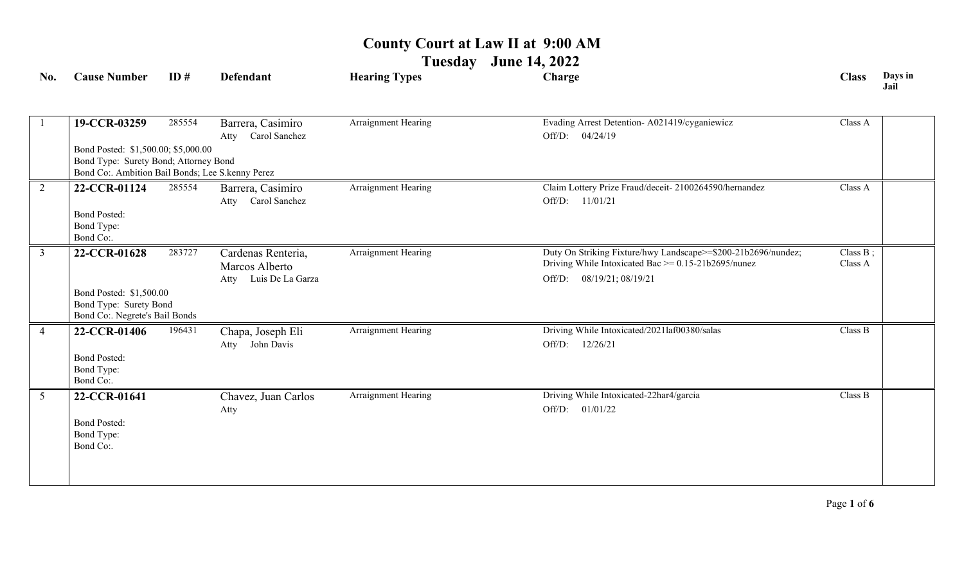**Tuesday June 14, 2022**

| No.             | <b>Cause Number</b>                                                                                                              | ID#    | <b>Defendant</b>                                                 | <b>Hearing Types</b>       | Charge                                                                                                                                                 | <b>Class</b>           | Days in<br>Jail |
|-----------------|----------------------------------------------------------------------------------------------------------------------------------|--------|------------------------------------------------------------------|----------------------------|--------------------------------------------------------------------------------------------------------------------------------------------------------|------------------------|-----------------|
|                 | 19-CCR-03259                                                                                                                     | 285554 | Barrera, Casimiro<br>Carol Sanchez<br>Atty                       | <b>Arraignment Hearing</b> | Evading Arrest Detention- A021419/cyganiewicz<br>Off/D: 04/24/19                                                                                       | Class A                |                 |
|                 | Bond Posted: \$1,500.00; \$5,000.00<br>Bond Type: Surety Bond; Attorney Bond<br>Bond Co:. Ambition Bail Bonds; Lee S.kenny Perez |        |                                                                  |                            |                                                                                                                                                        |                        |                 |
| $\overline{2}$  | 22-CCR-01124<br><b>Bond Posted:</b><br>Bond Type:<br>Bond Co:.                                                                   | 285554 | Barrera, Casimiro<br>Atty Carol Sanchez                          | Arraignment Hearing        | Claim Lottery Prize Fraud/deceit- 2100264590/hernandez<br>Off/D: 11/01/21                                                                              | Class A                |                 |
| $\overline{3}$  | 22-CCR-01628                                                                                                                     | 283727 | Cardenas Renteria,<br>Marcos Alberto<br>Luis De La Garza<br>Atty | Arraignment Hearing        | Duty On Striking Fixture/hwy Landscape>=\$200-21b2696/nundez;<br>Driving While Intoxicated Bac $\ge$ = 0.15-21b2695/nunez<br>Off/D: 08/19/21; 08/19/21 | Class $B$ ;<br>Class A |                 |
|                 | Bond Posted: \$1,500.00<br>Bond Type: Surety Bond<br>Bond Co:. Negrete's Bail Bonds                                              |        |                                                                  |                            |                                                                                                                                                        |                        |                 |
| $\overline{4}$  | 22-CCR-01406<br><b>Bond Posted:</b><br>Bond Type:<br>Bond Co:.                                                                   | 196431 | Chapa, Joseph Eli<br>John Davis<br>Atty                          | Arraignment Hearing        | Driving While Intoxicated/2021laf00380/salas<br>Off/D: 12/26/21                                                                                        | Class B                |                 |
| $5\overline{)}$ | 22-CCR-01641<br><b>Bond Posted:</b><br>Bond Type:<br>Bond Co:.                                                                   |        | Chavez, Juan Carlos<br>Atty                                      | Arraignment Hearing        | Driving While Intoxicated-22har4/garcia<br>Off/D: 01/01/22                                                                                             | Class B                |                 |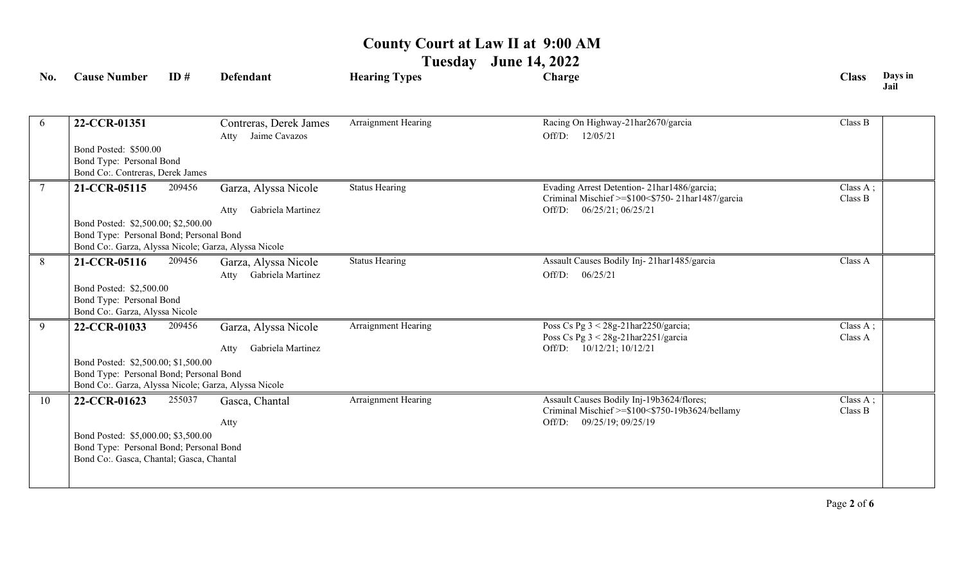**Tuesday June 14, 2022**

| No.             | <b>Cause Number</b>                                                                                                                    | ID#    | <b>Defendant</b>                                  | <b>Hearing Types</b>  | Charge                                                                                                                      | <b>Class</b>        | Days in<br>Jail |
|-----------------|----------------------------------------------------------------------------------------------------------------------------------------|--------|---------------------------------------------------|-----------------------|-----------------------------------------------------------------------------------------------------------------------------|---------------------|-----------------|
| 6               | 22-CCR-01351<br>Bond Posted: \$500.00<br>Bond Type: Personal Bond                                                                      |        | Contreras, Derek James<br>Atty Jaime Cavazos      | Arraignment Hearing   | Racing On Highway-21har2670/garcia<br>Off/D:<br>12/05/21                                                                    | Class B             |                 |
|                 | Bond Co:. Contreras, Derek James                                                                                                       |        |                                                   |                       |                                                                                                                             |                     |                 |
| $7\overline{ }$ | 21-CCR-05115                                                                                                                           | 209456 | Garza, Alyssa Nicole<br>Gabriela Martinez<br>Atty | <b>Status Hearing</b> | Evading Arrest Detention-21har1486/garcia;<br>Criminal Mischief >=\$100<\$750-21har1487/garcia<br>Off/D: 06/25/21; 06/25/21 | Class A;<br>Class B |                 |
|                 | Bond Posted: \$2,500.00; \$2,500.00<br>Bond Type: Personal Bond; Personal Bond<br>Bond Co:. Garza, Alyssa Nicole; Garza, Alyssa Nicole |        |                                                   |                       |                                                                                                                             |                     |                 |
| 8               | 21-CCR-05116<br>Bond Posted: \$2,500.00<br>Bond Type: Personal Bond                                                                    | 209456 | Garza, Alyssa Nicole<br>Gabriela Martinez<br>Atty | <b>Status Hearing</b> | Assault Causes Bodily Inj-21har1485/garcia<br>06/25/21<br>Off/D:                                                            | Class A             |                 |
|                 | Bond Co:. Garza, Alyssa Nicole                                                                                                         |        |                                                   |                       |                                                                                                                             |                     |                 |
| $\overline{9}$  | 22-CCR-01033                                                                                                                           | 209456 | Garza, Alyssa Nicole<br>Gabriela Martinez<br>Atty | Arraignment Hearing   | Poss Cs Pg 3 < 28g-21har2250/garcia;<br>Poss Cs Pg 3 < 28g-21har2251/garcia<br>10/12/21; 10/12/21<br>Off/D:                 | Class A;<br>Class A |                 |
|                 | Bond Posted: \$2,500.00; \$1,500.00<br>Bond Type: Personal Bond; Personal Bond<br>Bond Co:. Garza, Alyssa Nicole; Garza, Alyssa Nicole |        |                                                   |                       |                                                                                                                             |                     |                 |
| 10              | 22-CCR-01623                                                                                                                           | 255037 | Gasca, Chantal<br>Atty                            | Arraignment Hearing   | Assault Causes Bodily Inj-19b3624/flores;<br>Criminal Mischief >=\$100<\$750-19b3624/bellamy<br>Off/D: 09/25/19; 09/25/19   | Class A;<br>Class B |                 |
|                 | Bond Posted: \$5,000.00; \$3,500.00<br>Bond Type: Personal Bond; Personal Bond<br>Bond Co:. Gasca, Chantal; Gasca, Chantal             |        |                                                   |                       |                                                                                                                             |                     |                 |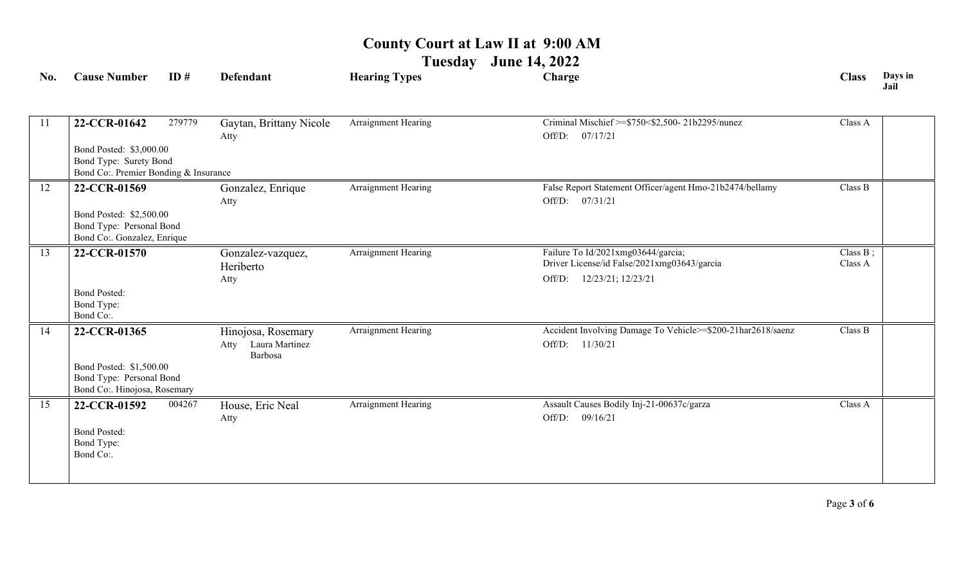**Tuesday June 14, 2022**

| No. | <b>Cause Number</b>                                                                                                                         | ID#    | <b>Defendant</b>                                        | <b>Hearing Types</b> | Charge                                                                                                            | <b>Class</b>           | Days in<br>Jail |
|-----|---------------------------------------------------------------------------------------------------------------------------------------------|--------|---------------------------------------------------------|----------------------|-------------------------------------------------------------------------------------------------------------------|------------------------|-----------------|
| -11 | 22-CCR-01642<br>Bond Posted: \$3,000.00<br>Bond Type: Surety Bond                                                                           | 279779 | Gaytan, Brittany Nicole<br>Atty                         | Arraignment Hearing  | Criminal Mischief >=\$750<\$2,500-21b2295/nunez<br>07/17/21<br>Off/D:                                             | Class A                |                 |
| 12  | Bond Co:. Premier Bonding & Insurance<br>22-CCR-01569<br>Bond Posted: \$2,500.00<br>Bond Type: Personal Bond<br>Bond Co:. Gonzalez, Enrique |        | Gonzalez, Enrique<br>Atty                               | Arraignment Hearing  | False Report Statement Officer/agent Hmo-21b2474/bellamy<br>Off/D: 07/31/21                                       | Class B                |                 |
| 13  | 22-CCR-01570<br><b>Bond Posted:</b><br>Bond Type:<br>Bond Co:.                                                                              |        | Gonzalez-vazquez,<br>Heriberto<br>Atty                  | Arraignment Hearing  | Failure To Id/2021xmg03644/garcia;<br>Driver License/id False/2021xmg03643/garcia<br>12/23/21; 12/23/21<br>Off/D: | Class $B$ ;<br>Class A |                 |
| 14  | 22-CCR-01365<br>Bond Posted: \$1,500.00<br>Bond Type: Personal Bond<br>Bond Co:. Hinojosa, Rosemary                                         |        | Hinojosa, Rosemary<br>Laura Martinez<br>Atty<br>Barbosa | Arraignment Hearing  | Accident Involving Damage To Vehicle>=\$200-21har2618/saenz<br>Off/D: 11/30/21                                    | Class B                |                 |
| 15  | 22-CCR-01592<br><b>Bond Posted:</b><br>Bond Type:<br>Bond Co:.                                                                              | 004267 | House, Eric Neal<br>Atty                                | Arraignment Hearing  | Assault Causes Bodily Inj-21-00637c/garza<br>Off/D: 09/16/21                                                      | Class A                |                 |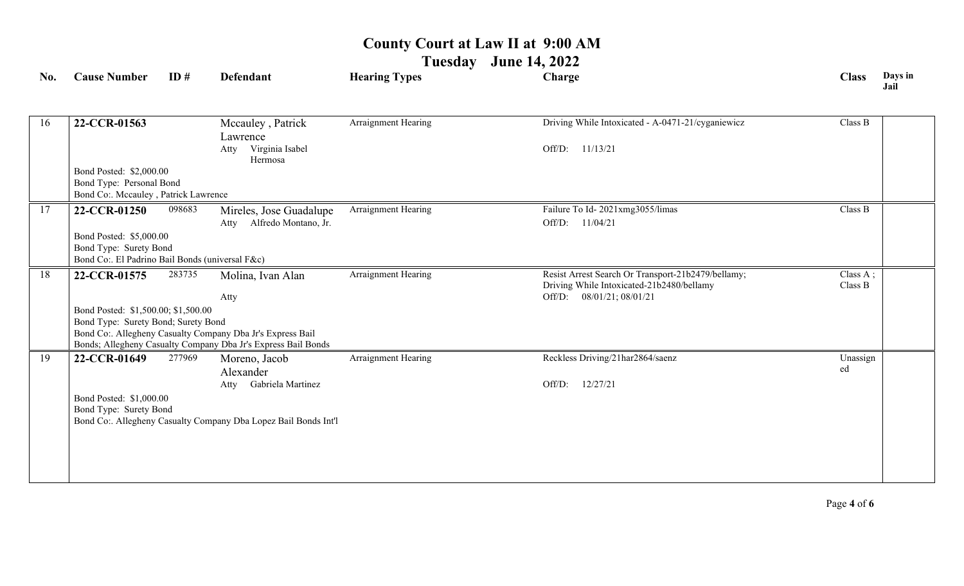# **Tuesday June 14, 2022**

| No. | <b>Cause Number</b>                                              | ID#    | <b>Defendant</b>                                                                                                            | <b>Hearing Types</b> | Charge                                                                                          | <b>Class</b>                             | Days in<br>Jail |
|-----|------------------------------------------------------------------|--------|-----------------------------------------------------------------------------------------------------------------------------|----------------------|-------------------------------------------------------------------------------------------------|------------------------------------------|-----------------|
|     |                                                                  |        |                                                                                                                             |                      |                                                                                                 |                                          |                 |
| 16  | 22-CCR-01563                                                     |        | Mccauley, Patrick<br>Lawrence                                                                                               | Arraignment Hearing  | Driving While Intoxicated - A-0471-21/cyganiewicz                                               | Class B                                  |                 |
|     |                                                                  |        | Virginia Isabel<br>Atty<br>Hermosa                                                                                          |                      | Off/D: 11/13/21                                                                                 |                                          |                 |
|     | Bond Posted: \$2,000.00                                          |        |                                                                                                                             |                      |                                                                                                 |                                          |                 |
|     | Bond Type: Personal Bond<br>Bond Co:. Mccauley, Patrick Lawrence |        |                                                                                                                             |                      |                                                                                                 |                                          |                 |
| 17  | 22-CCR-01250                                                     | 098683 | Mireles, Jose Guadalupe                                                                                                     | Arraignment Hearing  | Failure To Id-2021xmg3055/limas                                                                 | Class B                                  |                 |
|     |                                                                  |        | Alfredo Montano, Jr.<br>Atty                                                                                                |                      | Off/D: 11/04/21                                                                                 |                                          |                 |
|     | Bond Posted: \$5,000.00                                          |        |                                                                                                                             |                      |                                                                                                 |                                          |                 |
|     | Bond Type: Surety Bond                                           |        |                                                                                                                             |                      |                                                                                                 |                                          |                 |
|     | Bond Co:. El Padrino Bail Bonds (universal F&c)                  |        |                                                                                                                             |                      |                                                                                                 |                                          |                 |
| 18  | 22-CCR-01575                                                     | 283735 | Molina, Ivan Alan                                                                                                           | Arraignment Hearing  | Resist Arrest Search Or Transport-21b2479/bellamy;<br>Driving While Intoxicated-21b2480/bellamy | $\overline{\text{Class A}}$ ;<br>Class B |                 |
|     |                                                                  |        | Atty                                                                                                                        |                      | Off/D: 08/01/21; 08/01/21                                                                       |                                          |                 |
|     | Bond Posted: \$1,500.00; \$1,500.00                              |        |                                                                                                                             |                      |                                                                                                 |                                          |                 |
|     | Bond Type: Surety Bond; Surety Bond                              |        |                                                                                                                             |                      |                                                                                                 |                                          |                 |
|     |                                                                  |        | Bond Co:. Allegheny Casualty Company Dba Jr's Express Bail<br>Bonds; Allegheny Casualty Company Dba Jr's Express Bail Bonds |                      |                                                                                                 |                                          |                 |
| 19  | 22-CCR-01649                                                     | 277969 | Moreno, Jacob                                                                                                               | Arraignment Hearing  | Reckless Driving/21har2864/saenz                                                                | Unassign                                 |                 |
|     |                                                                  |        | Alexander                                                                                                                   |                      |                                                                                                 | ed                                       |                 |
|     |                                                                  |        | Atty Gabriela Martinez                                                                                                      |                      | 12/27/21<br>Off/D:                                                                              |                                          |                 |
|     | Bond Posted: \$1,000.00                                          |        |                                                                                                                             |                      |                                                                                                 |                                          |                 |
|     | Bond Type: Surety Bond                                           |        | Bond Co:. Allegheny Casualty Company Dba Lopez Bail Bonds Int'l                                                             |                      |                                                                                                 |                                          |                 |
|     |                                                                  |        |                                                                                                                             |                      |                                                                                                 |                                          |                 |
|     |                                                                  |        |                                                                                                                             |                      |                                                                                                 |                                          |                 |
|     |                                                                  |        |                                                                                                                             |                      |                                                                                                 |                                          |                 |
|     |                                                                  |        |                                                                                                                             |                      |                                                                                                 |                                          |                 |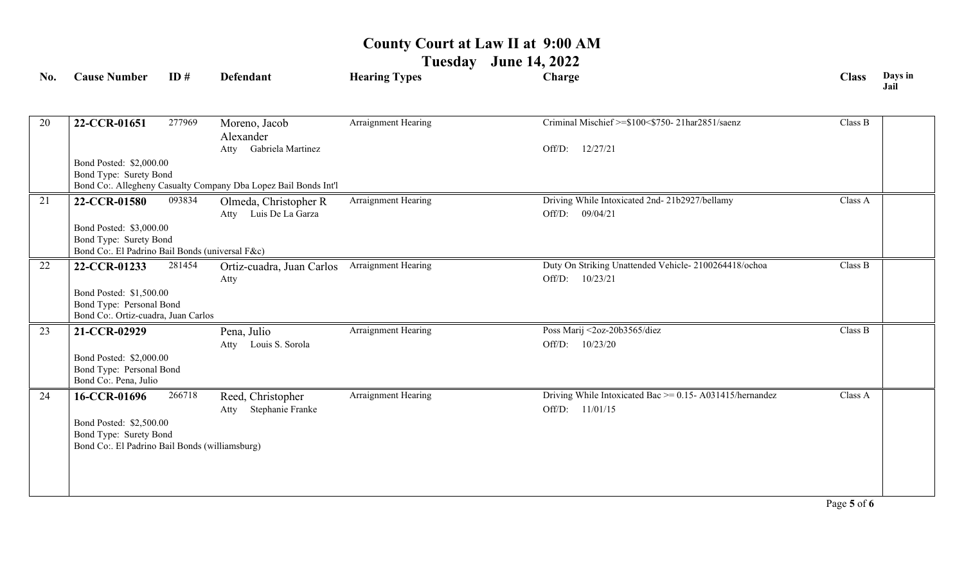**Tuesday June 14, 2022**

| No. | <b>Cause Number</b>                                             | ID#    | <b>Defendant</b>                                                | <b>Hearing Types</b> | Charge                                                        | <b>Class</b> | Days in<br>Jail |
|-----|-----------------------------------------------------------------|--------|-----------------------------------------------------------------|----------------------|---------------------------------------------------------------|--------------|-----------------|
|     |                                                                 |        |                                                                 |                      |                                                               |              |                 |
| 20  | 22-CCR-01651                                                    | 277969 | Moreno, Jacob                                                   | Arraignment Hearing  | Criminal Mischief >=\$100<\$750-21har2851/saenz               | Class B      |                 |
|     |                                                                 |        | Alexander<br>Atty Gabriela Martinez                             |                      | 12/27/21                                                      |              |                 |
|     |                                                                 |        |                                                                 |                      | Off/D:                                                        |              |                 |
|     | Bond Posted: \$2,000.00<br>Bond Type: Surety Bond               |        |                                                                 |                      |                                                               |              |                 |
|     |                                                                 |        | Bond Co:. Allegheny Casualty Company Dba Lopez Bail Bonds Int'l |                      |                                                               |              |                 |
| 21  | 22-CCR-01580                                                    | 093834 | Olmeda, Christopher R                                           | Arraignment Hearing  | Driving While Intoxicated 2nd- 21b2927/bellamy                | Class A      |                 |
|     |                                                                 |        | Atty Luis De La Garza                                           |                      | Off/D:<br>09/04/21                                            |              |                 |
|     | Bond Posted: \$3,000.00                                         |        |                                                                 |                      |                                                               |              |                 |
|     | Bond Type: Surety Bond                                          |        |                                                                 |                      |                                                               |              |                 |
|     | Bond Co:. El Padrino Bail Bonds (universal F&c)                 |        |                                                                 |                      |                                                               |              |                 |
| 22  | 22-CCR-01233                                                    | 281454 | Ortiz-cuadra, Juan Carlos                                       | Arraignment Hearing  | Duty On Striking Unattended Vehicle-2100264418/ochoa          | Class B      |                 |
|     |                                                                 |        | Atty                                                            |                      | Off/D:<br>10/23/21                                            |              |                 |
|     | Bond Posted: \$1,500.00                                         |        |                                                                 |                      |                                                               |              |                 |
|     | Bond Type: Personal Bond<br>Bond Co:. Ortiz-cuadra, Juan Carlos |        |                                                                 |                      |                                                               |              |                 |
| 23  | 21-CCR-02929                                                    |        | Pena, Julio                                                     | Arraignment Hearing  | Poss Marij <2oz-20b3565/diez                                  | Class B      |                 |
|     |                                                                 |        | Louis S. Sorola<br>Atty                                         |                      | Off/D:<br>10/23/20                                            |              |                 |
|     | Bond Posted: \$2,000.00                                         |        |                                                                 |                      |                                                               |              |                 |
|     | Bond Type: Personal Bond                                        |        |                                                                 |                      |                                                               |              |                 |
|     | Bond Co:. Pena, Julio                                           |        |                                                                 |                      |                                                               |              |                 |
| 24  | 16-CCR-01696                                                    | 266718 | Reed, Christopher                                               | Arraignment Hearing  | Driving While Intoxicated Bac $\ge$ = 0.15- A031415/hernandez | Class A      |                 |
|     |                                                                 |        | Stephanie Franke<br>Atty                                        |                      | 11/01/15<br>Off/D:                                            |              |                 |
|     | Bond Posted: \$2,500.00                                         |        |                                                                 |                      |                                                               |              |                 |
|     | Bond Type: Surety Bond                                          |        |                                                                 |                      |                                                               |              |                 |
|     | Bond Co:. El Padrino Bail Bonds (williamsburg)                  |        |                                                                 |                      |                                                               |              |                 |
|     |                                                                 |        |                                                                 |                      |                                                               |              |                 |
|     |                                                                 |        |                                                                 |                      |                                                               |              |                 |
|     |                                                                 |        |                                                                 |                      |                                                               |              |                 |